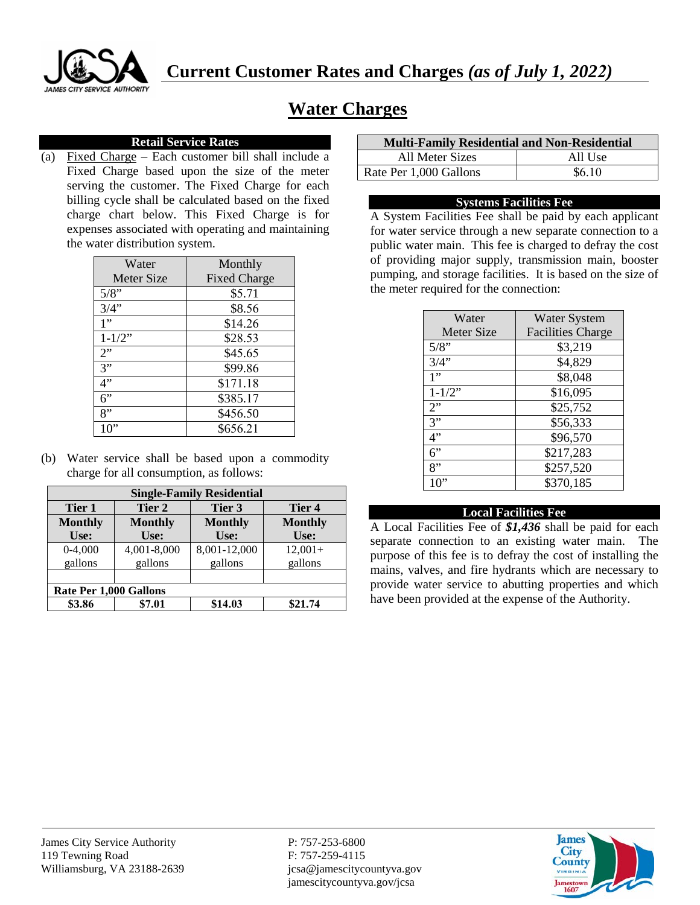

# **Water Charges**

## **Retail Service Rates**

(a) Fixed Charge – Each customer bill shall include a Fixed Charge based upon the size of the meter serving the customer. The Fixed Charge for each billing cycle shall be calculated based on the fixed charge chart below. This Fixed Charge is for expenses associated with operating and maintaining the water distribution system.

| Water             | Monthly             |
|-------------------|---------------------|
| <b>Meter Size</b> | <b>Fixed Charge</b> |
| 5/8"              | \$5.71              |
| 3/4"              | \$8.56              |
| 1"                | \$14.26             |
| $1 - 1/2$ "       | \$28.53             |
| 2"                | \$45.65             |
| $\overline{3}$ "  | \$99.86             |
| 4"                | \$171.18            |
| 6"                | \$385.17            |
| 8"                | \$456.50            |
| 10"               | \$656.21            |

(b) Water service shall be based upon a commodity charge for all consumption, as follows:

| <b>Single-Family Residential</b> |                |                   |                |
|----------------------------------|----------------|-------------------|----------------|
| Tier 1                           | Tier 2         | Tier 3            | Tier 4         |
| <b>Monthly</b>                   | <b>Monthly</b> | <b>Monthly</b>    | <b>Monthly</b> |
| Use:                             | Use:           | U <sub>se</sub> : | Use:           |
| $0-4,000$                        | 4,001-8,000    | 8,001-12,000      | $12,001+$      |
| gallons                          | gallons        | gallons           | gallons        |
|                                  |                |                   |                |
| Rate Per 1,000 Gallons           |                |                   |                |
| \$3.86                           | \$7.01         | \$14.03           | \$21.74        |

| <b>Multi-Family Residential and Non-Residential</b> |         |  |
|-----------------------------------------------------|---------|--|
| All Meter Sizes                                     | All Use |  |
| Rate Per 1,000 Gallons                              | \$6.10  |  |

## **Systems Facilities Fee**

A System Facilities Fee shall be paid by each applicant for water service through a new separate connection to a public water main. This fee is charged to defray the cost of providing major supply, transmission main, booster pumping, and storage facilities. It is based on the size of the meter required for the connection:

| Water             | <b>Water System</b>      |
|-------------------|--------------------------|
| <b>Meter Size</b> | <b>Facilities Charge</b> |
| 5/8"              | \$3,219                  |
| 3/4"              | \$4,829                  |
| 1"                | \$8,048                  |
| $1 - 1/2"$        | \$16,095                 |
| 2"                | \$25,752                 |
| 3"                | \$56,333                 |
| 4"                | \$96,570                 |
| 6"                | \$217,283                |
| 8"                | \$257,520                |
| 10"               | \$370,185                |

## **Local Facilities Fee**

A Local Facilities Fee of *\$1,436* shall be paid for each separate connection to an existing water main. The purpose of this fee is to defray the cost of installing the mains, valves, and fire hydrants which are necessary to provide water service to abutting properties and which have been provided at the expense of the Authority.

jamescitycountyva.gov/jcsa

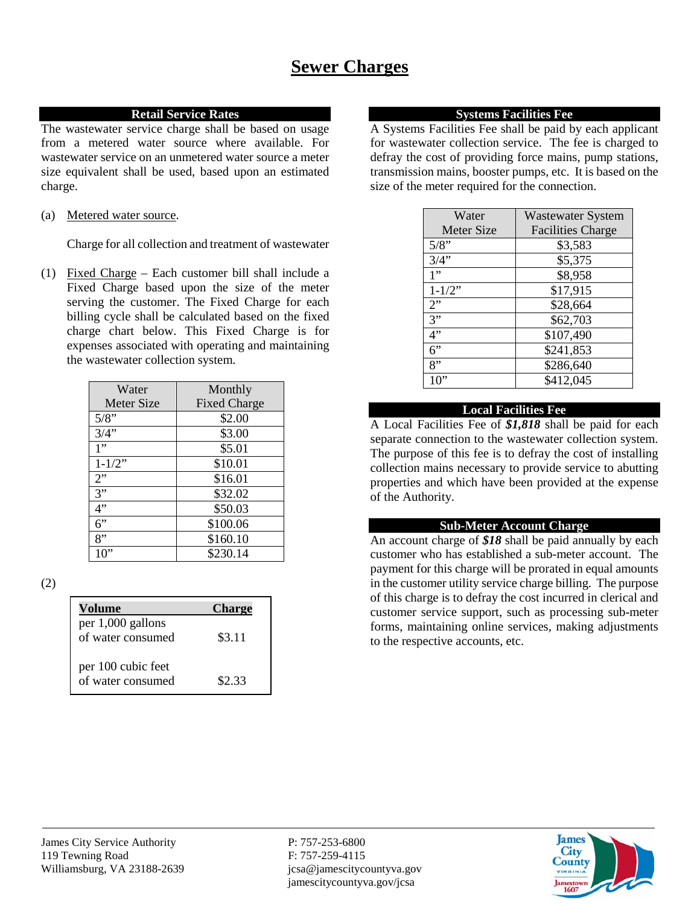## **Retail Service Rates**

The wastewater service charge shall be based on usage from a metered water source where available. For wastewater service on an unmetered water source a meter size equivalent shall be used, based upon an estimated charge.

(a) Metered water source.

Charge for all collection and treatment of wastewater

(1) Fixed Charge – Each customer bill shall include a Fixed Charge based upon the size of the meter serving the customer. The Fixed Charge for each billing cycle shall be calculated based on the fixed charge chart below. This Fixed Charge is for expenses associated with operating and maintaining the wastewater collection system.

| Water             | Monthly             |
|-------------------|---------------------|
| <b>Meter Size</b> | <b>Fixed Charge</b> |
| 5/8"              | \$2.00              |
| 3/4"              | \$3.00              |
| 1"                | \$5.01              |
| $1 - 1/2$ "       | \$10.01             |
| 2"                | \$16.01             |
| 3"                | \$32.02             |
| 4"                | \$50.03             |
| 6"                | \$100.06            |
| 8"                | \$160.10            |
|                   | \$230.14            |

(2)

| <b>Volume</b>                           | <b>Charge</b> |
|-----------------------------------------|---------------|
| per 1,000 gallons<br>of water consumed  | \$3.11        |
| per 100 cubic feet<br>of water consumed | \$2.33        |

#### **Systems Facilities Fee**

A Systems Facilities Fee shall be paid by each applicant for wastewater collection service. The fee is charged to defray the cost of providing force mains, pump stations, transmission mains, booster pumps, etc. It is based on the size of the meter required for the connection.

| Water             | <b>Wastewater System</b> |
|-------------------|--------------------------|
| <b>Meter Size</b> | <b>Facilities Charge</b> |
| 5/8"              | \$3,583                  |
| 3/4"              | \$5,375                  |
| 1"                | \$8,958                  |
| $1 - 1/2$ "       | \$17,915                 |
| 2"                | \$28,664                 |
| 3"                | \$62,703                 |
| 4"                | \$107,490                |
| 6"                | \$241,853                |
| 8"                | \$286,640                |
| 10"               | \$412,045                |

# **Local Facilities Fee**

A Local Facilities Fee of *\$1,818* shall be paid for each separate connection to the wastewater collection system. The purpose of this fee is to defray the cost of installing collection mains necessary to provide service to abutting properties and which have been provided at the expense of the Authority.

## **Sub-Meter Account Charge**

An account charge of *\$18* shall be paid annually by each customer who has established a sub-meter account. The payment for this charge will be prorated in equal amounts in the customer utility service charge billing. The purpose of this charge is to defray the cost incurred in clerical and customer service support, such as processing sub-meter forms, maintaining online services, making adjustments to the respective accounts, etc.

jamescitycountyva.gov/jcsa